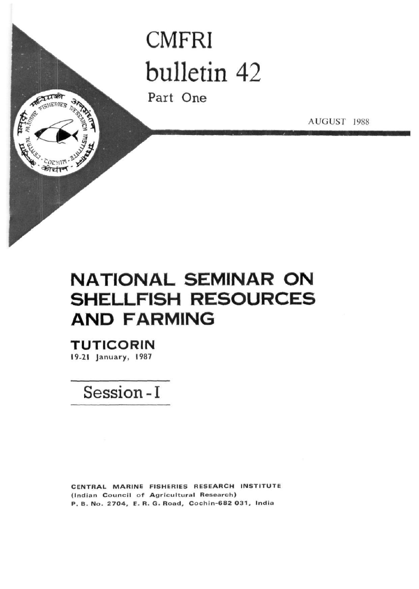# **CMFRI** bulletin 42

Part One

AUGUST 1988

## **NATIONAL SEMINAR ON SHELLFISH RESOURCES AND FARMING**

**TUTICORIN** 19-21 January, 1987

MALLIS

**TENERIES** 

חוויבס श्रीचीर

Session-I

CENTRAL MARINE FISHERIES RESEARCH INSTITUTE (Indian Council of Agricultural Research) P. B. No. 2704, E. R. G. Road, Cochin-682 031, India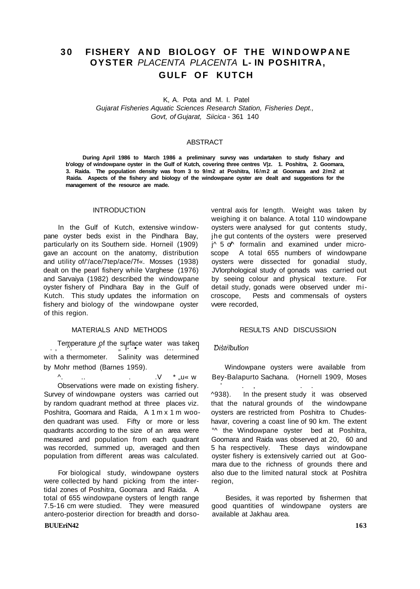## **3 0 FISHERY AN D BIOLOGY OF THE WINDOWPAN E OYSTER** PLACENTA PLACENTA **L- IN POSHITRA, GULF OF KUTCH**

K, A. Pota and M. I. Patel Gujarat Fisheries Aquatic Sciences Research Station, Fisheries Dept., Govt, of Gujarat, Siicica - 361 140

#### ABSTRACT

**During April 1986 to March 1986 a preliminary survsy was undartaken to study fishary and b'ology of windowpane oyster in the Gulf of Kutch, covering three centres V|z. 1. Poshitra, 2. Goomara, 3. Raida. The population density was from 3 to 9/m2 at Poshitra, l6/m2 at Goomara and 2/m2 at Raida. Aspects of the fishery and biology of the windowpane oyster are dealt and suggestions for the management of the resource are made.** 

pane oyster beds exist in the Pindhara Bay, jhe gut contents of the oysters were preserved particularly on its Southern side. Horneil (1909)  $j^A$  5 o<sup> $A$ </sup> formalin and examined under microgave an account on the anatomy, distribution scope A total 655 numbers of windowpane and utility of/'/ace/7tep/ace/7f«. Mosses (1938) oysters were dissected for gonadial study, dealt on the pearl fishery while Varghese (1976) JVlorphological study of gonads was carried out and Sarvaiya (1982) described the windowpane by seeing colour and physical texture. For oyster fishery of Pindhara Bay in the Gulf of detail study, gonads were observed under mi-Kutch. This study updates the information on croscope, Pests and commensals of oysters fishery and biology of the windowpane oyster were recorded, of this region.

Temperature of the surface water was taken  $\overline{D}$  bistribution with a thermometer. Salinity was determined

Observations were made on existing fishery. Survey of windowpane oysters was carried out ^938). In the present study it was observed by random quadrant method at three places viz. that the natural grounds of the windowpane Poshitra, Goomara and Raida, A 1 m x 1 m woo- oysters are restricted from Poshitra to Chudesden quadrant was used. Fifty or more or less havar, covering a coast line of 90 km. The extent quadrants according to the size of an area were  $\gamma$  the Windowpane oyster bed at Poshitra, measured and population from each quadrant Goomara and Raida was observed at 20, 60 and was recorded, summed up, averaged and then 5 ha respectively. These days windowpane population from different areas was calculated. oyster fishery is extensively carried out at Goo-

were collected by hand picking from the inter- region, tidal zones of Poshitra, Goomara and Raida. A 7.5-16 cm were studied. They were measured antero-posterior direction for breadth and dorso- available at Jakhau area.

#### **BUUEriN42** 163

INTRODUCTION ventral axis for length. Weight was taken by weighing it on balance. A total 110 windowpane In the Gulf of Kutch, extensive window- oysters were analysed for gut contents study,

#### MATERIALS AND METHODS RESULTS AND DISCUSSION

by Mohr method (Barnes 1959). Windowpane oysters were available from ^. .. . .V \* "u« w Bey-Balapurto Sachana. (HornelI 1909, Moses mara due to the richness of grounds there and For biological study, windowpane oysters also due to the limited natural stock at Poshitra

total of 655 windowpane oysters of length range and Besides, it was reported by fishermen that that<br>1.5-16 cm were studied. They were measured appod quantities of windowpane oysters are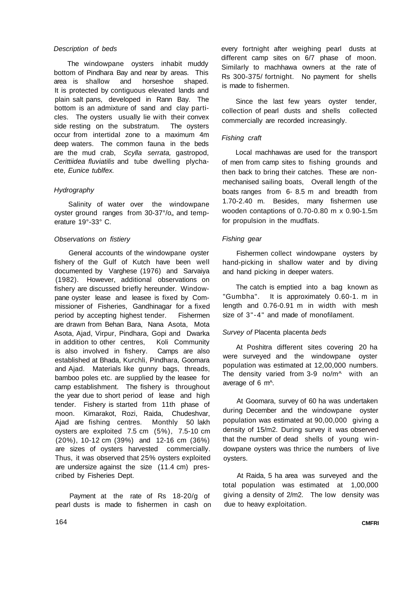#### Description of beds

The windowpane oysters inhabit muddy bottom of Pindhara Bay and near by areas. This area is shallow and horseshoe shaped. It is protected by contiguous elevated lands and plain salt pans, developed in Rann Bay. The bottom is an admixture of sand and clay particles. The oysters usually lie with their convex side resting on the substratum. The oysters occur from intertidal zone to a maximum 4m deep waters. The common fauna in the beds are the mud crab, Scylla serrata, gastropod, Cerittiidea fluviatilis and tube dwelling plychaete, Eunice tublfex.

#### **Hydrography**

Salinity of water over the windowpane oyster ground ranges from 30-37°/o<sub>n</sub> and temperature 19°-33° C.

#### Observations on fistiery

General accounts of the windowpane oyster fishery of the Gulf of Kutch have been well documented by Varghese (1976) and Sarvaiya (1982). However, additional observations on fishery are discussed briefly hereunder. Windowpane oyster lease and leasee is fixed by Commissioner of Fisheries, Gandhinagar for a fixed period by accepting highest tender. Fishermen are drawn from Behan Bara, Nana Asota, Mota Asota, Ajad, Virpur, Pindhara, Gopi and Dwarka in addition to other centres, Koli Community is also involved in fishery. Camps are also established at Bhada, Kurchli, Pindhara, Goomara and Ajad. Materials like gunny bags, threads, bamboo poles etc. are supplied by the leasee for camp establishment. The fishery is throughout the year due to short period of lease and high tender. Fishery is started from 11th phase of moon. Kimarakot, Rozi, Raida, Chudeshvar, Ajad are fishing centres. Monthly 50 lakh oysters are exploited 7.5 cm (5%), 7.5-10 cm (20%), 10-12 cm (39%) and 12-16 cm (36%) are sizes of oysters harvested commercially. Thus, it was observed that 25% oysters exploited are undersize against the size (11.4 cm) prescribed by Fisheries Dept.

Payment at the rate of Rs 18-20/g of pearl dusts is made to fishermen in cash on every fortnight after weighing pearl dusts at different camp sites on 6/7 phase of moon. Similarly to machhawa owners at the rate of Rs 300-375/ fortnight. No payment for shells is made to fishermen.

Since the last few years oyster tender, collection of pearl dusts and shells collected commercially are recorded increasingly.

### Fishing craft

Local machhawas are used for the transport of men from camp sites to fishing grounds and then back to bring their catches. These are nonmechanised sailing boats, Overall length of the boats ranges from 6- 8.5 m and breadth from 1.70-2.40 m. Besides, many fishermen use wooden contaptions of 0.70-0.80 m x 0.90-1.5m for propulsion in the mudflats.

#### Fishing gear

Fishermen collect windowpane oysters by hand-picking in shallow water and by diving and hand picking in deeper waters.

The catch is emptied into a bag known as "Gumbha". It is approximately 0.60-1. m in length and 0.76-0.91 m in width with mesh size of 3"-4" and made of monofilament.

### Survey of Placenta placenta beds

At Poshitra different sites covering 20 ha were surveyed and the windowpane oyster population was estimated at 12,00,000 numbers. The density varied from 3-9 no/m^ with an average of 6 m^.

At Goomara, survey of 60 ha was undertaken during December and the windowpane oyster population was estimated at 90,00,000 giving a density of 15/m2. During survey it was observed that the number of dead shells of young windowpane oysters was thrice the numbers of live oysters.

At Raida, 5 ha area was surveyed and the total population was estimated at 1,00,000 giving a density of 2/m2. The low density was due to heavy exploitation.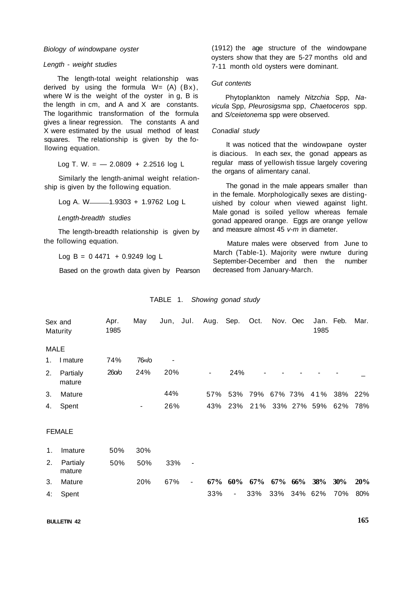#### Biology of windowpane oyster

#### Length - weight studies

The length-total weight relationship was derived by using the formula  $W = (A) (Bx)$ , where W is the weight of the oyster in g, B is the length in cm, and A and X are constants. The logarithmic transformation of the formula gives a linear regression. The constants A and X were estimated by the usual method of least squares. The relationship is given by the following equation.

Log T. W. = 
$$
-2.0809 + 2.2516 \log L
$$

Similarly the length-animal weight relationship is given by the following equation.

Log A. W-1.9303 + 1.9762 Log L

Length-breadth studies

The length-breadth relationship is given by the following equation.

 $Log B = 0.4471 + 0.9249 log L$ 

Based on the growth data given by Pearson

(1912) the age structure of the windowpane oysters show that they are 5-27 months old and 7-11 month old oysters were dominant.

#### Gut contents

Phytoplankton namely Nitzchia Spp, Navicula Spp, Pleurosigsma spp, Chaetoceros spp. and S/ceietonema spp were observed.

#### Conadial study

It was noticed that the windowpane oyster is diacious. In each sex, the gonad appears as regular mass of yellowish tissue largely covering the organs of alimentary canal.

The gonad in the male appears smaller than in the female. Morphologically sexes are distinguished by colour when viewed against light. Male gonad is soiled yellow whereas female gonad appeared orange. Eggs are orange yellow and measure almost  $45$  v- $m$  in diameter.

Mature males were observed from June to March (Table-1). Majority were nwture during September-December and then the number decreased from January-March.

#### TABLE 1. Showing gonad study

| Sex and<br>Maturity |                    | Apr.<br>1985 | May            | Jun, Jul. |                          | Aug.   | Sep.           | Oct.                | Nov. Oec        | Jan. Feb.<br>1985 |     | Mar.       |
|---------------------|--------------------|--------------|----------------|-----------|--------------------------|--------|----------------|---------------------|-----------------|-------------------|-----|------------|
| <b>MALE</b>         |                    |              |                |           |                          |        |                |                     |                 |                   |     |            |
| 1.                  | I mature           | 74%          | 76«/o          |           |                          |        |                |                     |                 |                   |     |            |
| 2.                  | Partialy<br>mature | 260/0        | 24%            | 20%       |                          | ۰.     | 24%            |                     |                 |                   |     |            |
| 3.                  | Mature             |              |                | 44%       |                          | 57%    | 53%            |                     | 79% 67% 73% 41% |                   | 38% | 22%        |
| 4.                  | Spent              |              | $\blacksquare$ | 26%       |                          | 43%    |                | 23% 21% 33% 27% 59% |                 |                   | 62% | 78%        |
| <b>FEMALE</b>       |                    |              |                |           |                          |        |                |                     |                 |                   |     |            |
| 1 <sub>1</sub>      | Imature            | 50%          | 30%            |           |                          |        |                |                     |                 |                   |     |            |
| 2.                  | Partialy<br>mature | 50%          | 50%            | 33%       | $\overline{\phantom{a}}$ |        |                |                     |                 |                   |     |            |
| 3.                  | Mature             |              | 20%            | 67%       | $\blacksquare$           | $67\%$ | $60\%$ $67\%$  |                     | $67\%$ $66\%$   | 38%               | 30% | <b>20%</b> |
| 4:                  | Spent              |              |                |           |                          | 33%    | $\blacksquare$ | 33%                 | 33% 34% 62%     |                   | 70% | 80%        |